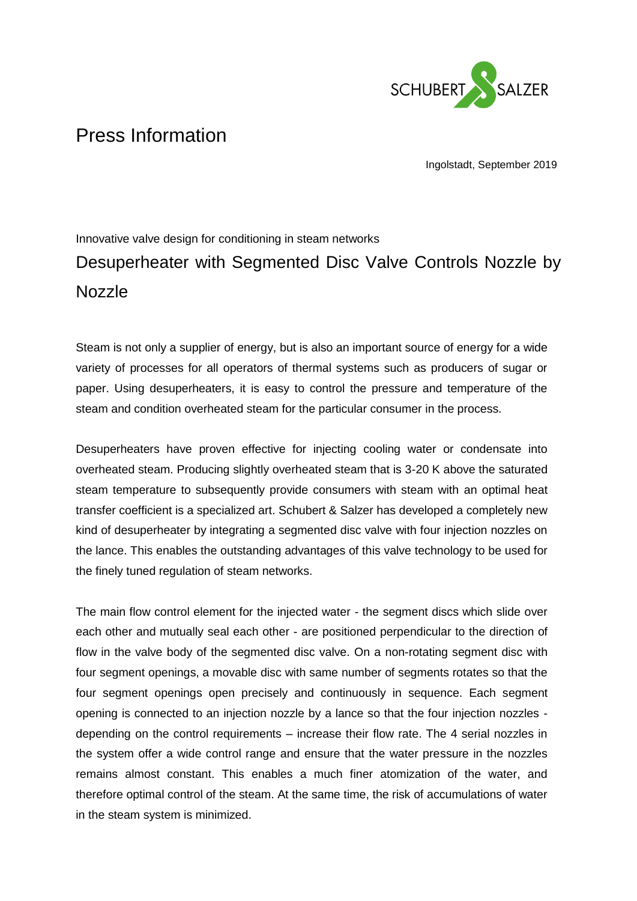

## Press Information

Ingolstadt, September 2019

## Innovative valve design for conditioning in steam networks Desuperheater with Segmented Disc Valve Controls Nozzle by Nozzle

Steam is not only a supplier of energy, but is also an important source of energy for a wide variety of processes for all operators of thermal systems such as producers of sugar or paper. Using desuperheaters, it is easy to control the pressure and temperature of the steam and condition overheated steam for the particular consumer in the process.

Desuperheaters have proven effective for injecting cooling water or condensate into overheated steam. Producing slightly overheated steam that is 3-20 K above the saturated steam temperature to subsequently provide consumers with steam with an optimal heat transfer coefficient is a specialized art. Schubert & Salzer has developed a completely new kind of desuperheater by integrating a segmented disc valve with four injection nozzles on the lance. This enables the outstanding advantages of this valve technology to be used for the finely tuned regulation of steam networks.

The main flow control element for the injected water - the segment discs which slide over each other and mutually seal each other - are positioned perpendicular to the direction of flow in the valve body of the segmented disc valve. On a non-rotating segment disc with four segment openings, a movable disc with same number of segments rotates so that the four segment openings open precisely and continuously in sequence. Each segment opening is connected to an injection nozzle by a lance so that the four injection nozzles depending on the control requirements – increase their flow rate. The 4 serial nozzles in the system offer a wide control range and ensure that the water pressure in the nozzles remains almost constant. This enables a much finer atomization of the water, and therefore optimal control of the steam. At the same time, the risk of accumulations of water in the steam system is minimized.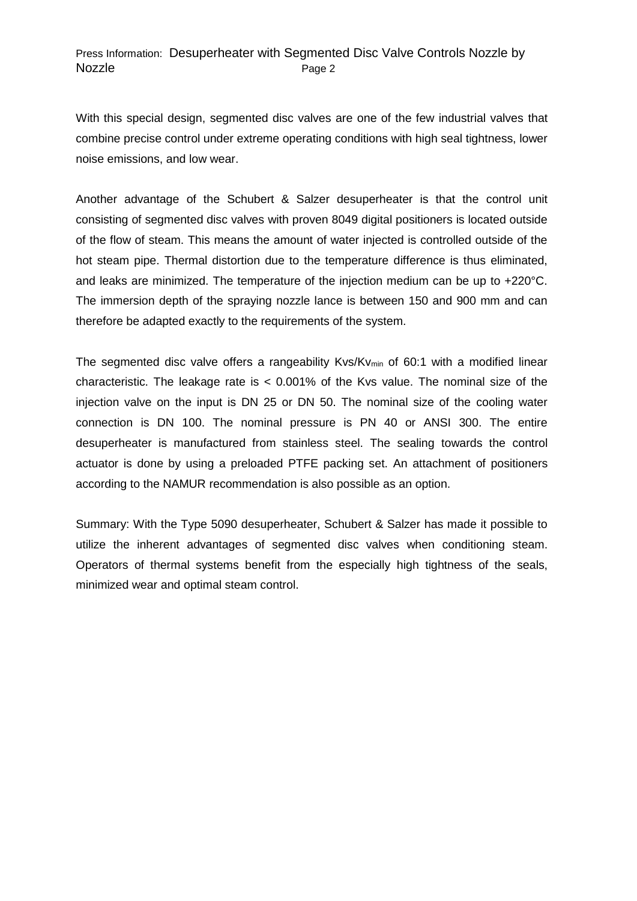## Press Information: Desuperheater with Segmented Disc Valve Controls Nozzle by Nozzle Page 2

With this special design, segmented disc valves are one of the few industrial valves that combine precise control under extreme operating conditions with high seal tightness, lower noise emissions, and low wear.

Another advantage of the Schubert & Salzer desuperheater is that the control unit consisting of segmented disc valves with proven 8049 digital positioners is located outside of the flow of steam. This means the amount of water injected is controlled outside of the hot steam pipe. Thermal distortion due to the temperature difference is thus eliminated, and leaks are minimized. The temperature of the injection medium can be up to +220°C. The immersion depth of the spraying nozzle lance is between 150 and 900 mm and can therefore be adapted exactly to the requirements of the system.

The segmented disc valve offers a rangeability Kvs/Kv<sub>min</sub> of 60:1 with a modified linear characteristic. The leakage rate is  $< 0.001\%$  of the Kvs value. The nominal size of the injection valve on the input is DN 25 or DN 50. The nominal size of the cooling water connection is DN 100. The nominal pressure is PN 40 or ANSI 300. The entire desuperheater is manufactured from stainless steel. The sealing towards the control actuator is done by using a preloaded PTFE packing set. An attachment of positioners according to the NAMUR recommendation is also possible as an option.

Summary: With the Type 5090 desuperheater, Schubert & Salzer has made it possible to utilize the inherent advantages of segmented disc valves when conditioning steam. Operators of thermal systems benefit from the especially high tightness of the seals, minimized wear and optimal steam control.